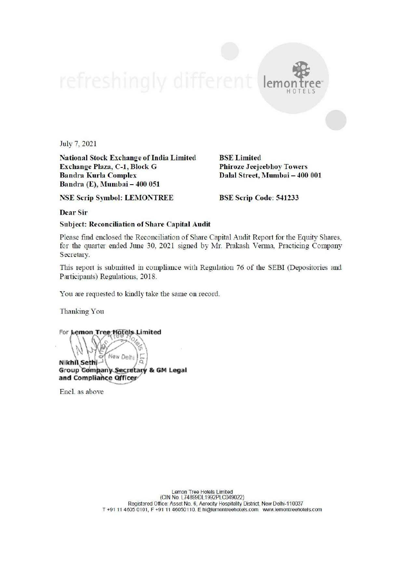

National Stock Exchange of India Limited BSE Limited Exchange Plaza, C-1, Block G Phiroze Jeejeebhoy Towers Bandra Kurla Complex Dalal Street, Mumbai — 400 001 Bandra (E), Mumbai — 400 051

NSE Scrip Symbol: LEMONTREE BSE Scrip Code: 541233

lemo

HOTELS

Dear Sir

Subject: Reconciliation of Share Capital Audit

Please find enclosed the Reconciliation of Share Capital Audit Report for the Equity Shares, for the quarter ended June 30, 2021 signed by Mr. Prakash Verma, Practicing Company Secretary.

This report is submitted in compliance with Regulation 76 of the SEBI (Depositories and Participants) Regulations, 2018.

You are requested to kindly take the same on record.

Thanking You

For **Lemon Tree Hote** 

Nikhi\ Sethi (New Delhi) 6<br>Group Gompany Secretary & GM Legal and Compliance Officer New Delhi

Enel. as above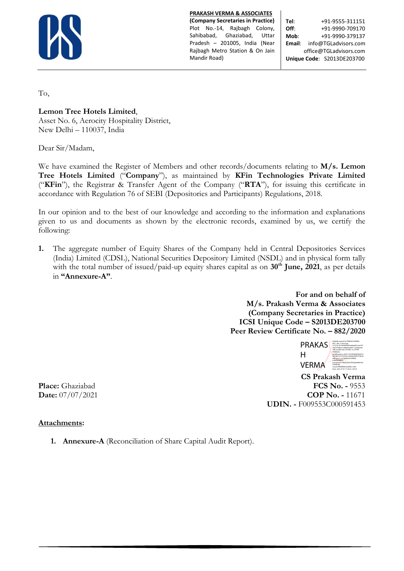

**PRAKASH VERMA & ASSOCIATES**

**(Company Secretaries in Practice)** Plot No.-14, Rajbagh Colony, Sahibabad, Ghaziabad, Uttar Pradesh – 201005, India (Near Rajbagh Metro Station & On Jain Mandir Road)

**Tel**: +91-9555-311151 **Off:**  $+91-9990-709170$ **Mob**: +91-9990-379137 **Email**: info@TGLadvisors.com office@TGLadvisors.com **Unique Code**: S2013DE203700

To,

**Lemon Tree Hotels Limited**,

Asset No. 6, Aerocity Hospitality District, New Delhi – 110037, India

Dear Sir/Madam,

We have examined the Register of Members and other records/documents relating to **M/s. Lemon Tree Hotels Limited** ("**Company**"), as maintained by **KFin Technologies Private Limited**  ("**KFin**"), the Registrar & Transfer Agent of the Company ("**RTA**"), for issuing this certificate in accordance with Regulation 76 of SEBI (Depositories and Participants) Regulations, 2018.

In our opinion and to the best of our knowledge and according to the information and explanations given to us and documents as shown by the electronic records, examined by us, we certify the following:

**1.** The aggregate number of Equity Shares of the Company held in Central Depositories Services (India) Limited (CDSL), National Securities Depository Limited (NSDL) and in physical form tally with the total number of issued/paid-up equity shares capital as on 30<sup>th</sup> June, 2021, as per details in **"Annexure-A"**.

> **For and on behalf of M/s. Prakash Verma & Associates (Company Secretaries in Practice) ICSI Unique Code – S2013DE203700 Peer Review Certificate No. – 882/2020**



 **CS Prakash Verma Place:** Ghaziabad **FCS No. -** 9553 **Date:**  $07/07/2021$  **COP No. -** 11671 **UDIN. -** F009553C000591453

# **Attachments:**

**1. Annexure-A** (Reconciliation of Share Capital Audit Report).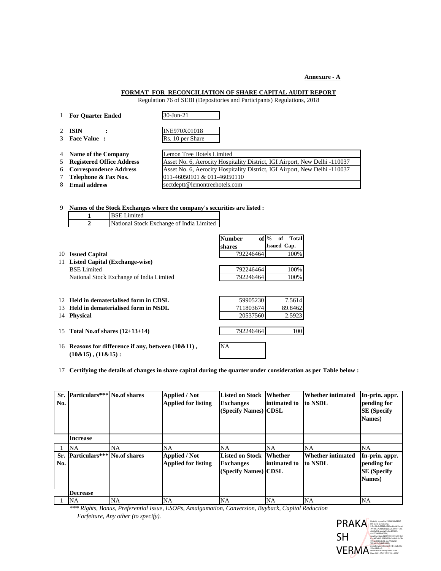**Annexure - A**

## **FORMAT FOR RECONCILIATION OF SHARE CAPITAL AUDIT REPORT**

Regulation 76 of SEBI (Depositories and Participants) Regulations, 2018

**For Quarter Ended** 30-Jun-21 **ISIN :** INE970X01018 **Face Value :** Rs. 10 per Share **Name of the Company** Lemon Tree Hotels Limited **Registered Office Address Asset No. 6, Aerocity Hospitality District, IGI Airport, New Delhi -110037 Correspondence Address** Asset No. 6, Aerocity Hospitality District, IGI Airport, New Delhi -110037 **Telephone & Fax Nos.** 011-46050101 & 011-46050110 **Email address** [sectdeptt@lemontreehotels.com](mailto:sectdeptt@lemontreehotels.com)

9 **Names of the Stock Exchanges where the company's securities are listed :** BSE Limited

**1**

|           | National Stock Exchange of India Limited<br>2                                    |                         |                                       |
|-----------|----------------------------------------------------------------------------------|-------------------------|---------------------------------------|
|           |                                                                                  | <b>Number</b><br>shares | $of \%$<br>Total<br>of<br>Issued Cap. |
| 10        | <b>Issued Capital</b>                                                            | 792246464               | 100%                                  |
| 11        | <b>Listed Capital (Exchange-wise)</b>                                            |                         |                                       |
|           | <b>BSE</b> Limited                                                               | 792246464               | 100%                                  |
|           | National Stock Exchange of India Limited                                         | 792246464               | 100%                                  |
| 12.<br>13 | Held in dematerialised form in CDSL<br>Held in dematerialised form in NSDL       | 59905230<br>711803674   | 7.5614<br>89.8462                     |
| 14        | <b>Physical</b>                                                                  | 20537560                | 2.5923                                |
| 15        | Total No.of shares $(12+13+14)$                                                  | 792246464               | 100                                   |
| 16        | Reasons for difference if any, between $(10\&11)$ ,<br>$(10\&15)$ , $(11\&15)$ : | <b>NA</b>               |                                       |

17 **Certifying the details of changes in share capital during the quarter under consideration as per Table below :**

| No. | Sr. Particulars*** No.of shares |    | <b>Applied / Not</b><br><b>Applied for listing</b> | Listed on Stock Whether<br><b>Exchanges</b><br>(Specify Names) CDSL        | intimated to | <b>Whether intimated</b><br>to NSDL | In-prin. appr.<br>pending for<br><b>SE</b> (Specify<br>Names) |
|-----|---------------------------------|----|----------------------------------------------------|----------------------------------------------------------------------------|--------------|-------------------------------------|---------------------------------------------------------------|
|     | <b>Increase</b>                 |    |                                                    |                                                                            |              |                                     |                                                               |
|     | <b>NA</b>                       | NA | NA.                                                | NA                                                                         | <b>NA</b>    | <b>NA</b>                           | <b>NA</b>                                                     |
| No. | Sr. Particulars*** No.of shares |    | <b>Applied / Not</b><br><b>Applied for listing</b> | <b>Listed on Stock Whether</b><br><b>Exchanges</b><br>(Specify Names) CDSL | intimated to | <b>Whether intimated</b><br>to NSDL | In-prin. appr.<br>pending for<br><b>SE</b> (Specify<br>Names) |
|     | <b>Decrease</b>                 |    |                                                    |                                                                            |              |                                     |                                                               |
|     | NΑ                              | NA | <b>NA</b>                                          | NA                                                                         | <b>NA</b>    | <b>NA</b>                           | NA                                                            |

*\*\*\* Rights, Bonus, Preferential Issue, ESOPs, Amalgamation, Conversion, Buyback, Capital Reduction Forfeiture, Any other (to specify).*